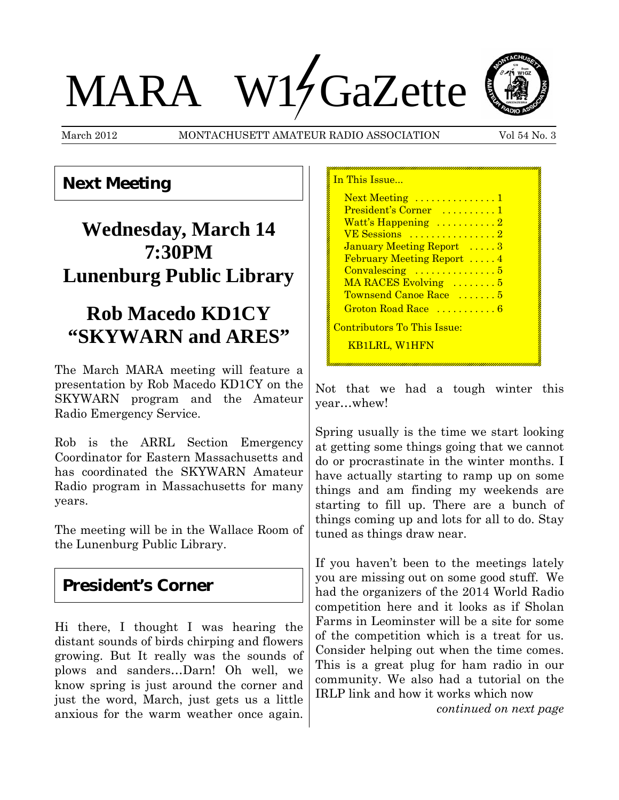# MARA W14 GaZette

March 2012 MONTACHUSETT AMATEUR RADIO ASSOCIATION Vol 54 No. 3



**Next Meeting**

# **Wednesday, March 14 7:30PM Lunenburg Public Library**

## **Rob Macedo KD1CY "SKYWARN and ARES"**

The March MARA meeting will feature a presentation by Rob Macedo KD1CY on the SKYWARN program and the Amateur Radio Emergency Service.

Rob is the ARRL Section Emergency Coordinator for Eastern Massachusetts and has coordinated the SKYWARN Amateur Radio program in Massachusetts for many years.

The meeting will be in the Wallace Room of the Lunenburg Public Library.

#### **President's Corner**

Hi there, I thought I was hearing the distant sounds of birds chirping and flowers growing. But It really was the sounds of plows and sanders…Darn! Oh well, we know spring is just around the corner and just the word, March, just gets us a little anxious for the warm weather once again. In This Issue... Next Meeting ................1 President's Corner .........1 Watt's Happening ..........2 VE Sessions ................2 January Meeting Report .....3 February Meeting Report .....4 Convalescing ...............5 MA RACES Evolving .........5 Townsend Canoe Race ....... 5 Groton Road Race ...........6 Contributors To This Issue: KB1LRL, W1HFN

Not that we had a tough winter this year…whew!

Spring usually is the time we start looking at getting some things going that we cannot do or procrastinate in the winter months. I have actually starting to ramp up on some things and am finding my weekends are starting to fill up. There are a bunch of things coming up and lots for all to do. Stay tuned as things draw near.

If you haven't been to the meetings lately you are missing out on some good stuff. We had the organizers of the 2014 World Radio competition here and it looks as if Sholan Farms in Leominster will be a site for some of the competition which is a treat for us. Consider helping out when the time comes. This is a great plug for ham radio in our community. We also had a tutorial on the IRLP link and how it works which now

*continued on next page*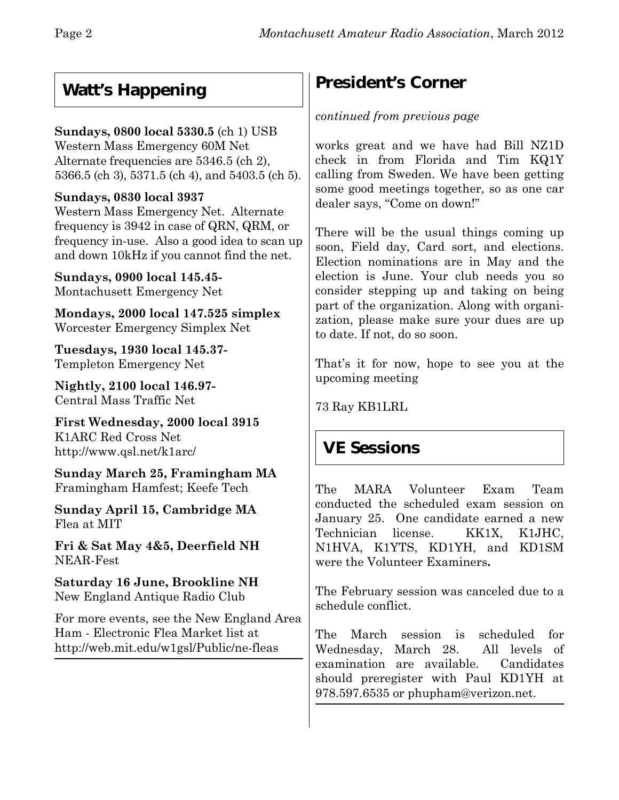## **Watt's Happening**

#### **Sundays, 0800 local 5330.5** (ch 1) USB

Western Mass Emergency 60M Net Alternate frequencies are 5346.5 (ch 2), 5366.5 (ch 3), 5371.5 (ch 4), and 5403.5 (ch 5).

#### **Sundays, 0830 local 3937**

Western Mass Emergency Net. Alternate frequency is 3942 in case of QRN, QRM, or frequency in-use. Also a good idea to scan up and down 10kHz if you cannot find the net.

**Sundays, 0900 local 145.45-** Montachusett Emergency Net

**Mondays, 2000 local 147.525 simplex** Worcester Emergency Simplex Net

**Tuesdays, 1930 local 145.37-** Templeton Emergency Net

**Nightly, 2100 local 146.97-** Central Mass Traffic Net

**First Wednesday, 2000 local 3915** K1ARC Red Cross Net http://www.qsl.net/k1arc/

**Sunday March 25, Framingham MA** Framingham Hamfest; Keefe Tech

**Sunday April 15, Cambridge MA** Flea at MIT

**Fri & Sat May 4&5, Deerfield NH** NEAR-Fest

**Saturday 16 June, Brookline NH** New England Antique Radio Club

For more events, see the New England Area Ham - Electronic Flea Market list at http://web.mit.edu/w1gsl/Public/ne-fleas

## **President's Corner**

#### *continued from previous page*

works great and we have had Bill NZ1D check in from Florida and Tim KQ1Y calling from Sweden. We have been getting some good meetings together, so as one car dealer says, "Come on down!"

There will be the usual things coming up soon, Field day, Card sort, and elections. Election nominations are in May and the election is June. Your club needs you so consider stepping up and taking on being part of the organization. Along with organization, please make sure your dues are up to date. If not, do so soon.

That's it for now, hope to see you at the upcoming meeting

73 Ray KB1LRL

#### **VE Sessions**

The MARA Volunteer Exam Team conducted the scheduled exam session on January 25. One candidate earned a new Technician license.KK1X, K1JHC, N1HVA, K1YTS, KD1YH, and KD1SM were the Volunteer Examiners**.**

The February session was canceled due to a schedule conflict.

The March session is scheduled for Wednesday, March 28. All levels of examination are available. Candidates should preregister with Paul KD1YH at 978.597.6535 or phupham@verizon.net.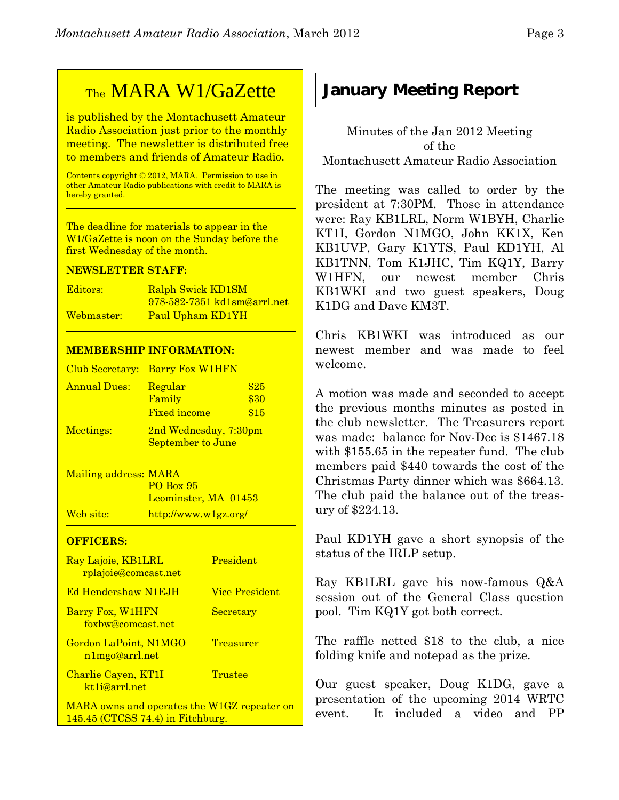## TheMARA W1/GaZette

is published by the Montachusett Amateur Radio Association just prior to the monthly meeting. The newsletter is distributed free to members and friends of Amateur Radio.

Contents copyright © 2012, MARA. Permission to use in other Amateur Radio publications with credit to MARA is hereby granted.

The deadline for materials to appear in the W1/GaZette is noon on the Sunday before the first Wednesday of the month.

#### **NEWSLETTER STAFF:**

| Editors:   | <b>Ralph Swick KD1SM</b>           |
|------------|------------------------------------|
|            | <u>978-582-7351 kd1sm@arrl.net</u> |
| Webmaster: | Paul Upham KD1YH                   |

#### **MEMBERSHIP INFORMATION:**

|              | Club Secretary: Barry Fox W1HFN                   |                      |
|--------------|---------------------------------------------------|----------------------|
| Annual Dues: | Regular<br>Family<br><b>Fixed income</b>          | \$25<br>\$30<br>\$15 |
| Meetings:    | 2nd Wednesday, 7:30pm<br><b>September to June</b> |                      |

Mailing address: MARA PO Box 95 Leominster, MA 01453 Web site: http://www.w1gz.org/

#### **OFFICERS:**

| Ray Lajoie, KB1LRL<br>rplajoie@comcast.net       | President             |
|--------------------------------------------------|-----------------------|
| <b>Ed Hendershaw N1EJH</b>                       | <b>Vice President</b> |
| Barry Fox, W1HFN<br>foxbw@comcast.net            | Secretary             |
| Gordon LaPoint, N1MGO<br>n1mgo@arrl.net          | <b>Treasurer</b>      |
| Charlie Cayen, KT1I<br>kt <sub>1i@arrl.net</sub> | Trustee               |
| MARA owns and operates the W1GZ repeater on      |                       |

145.45 (CTCSS 74.4) in Fitchburg.

Chris KB1WKI was introduced as our newest member and was made to feel welcome.

A motion was made and seconded to accept the previous months minutes as posted in the club newsletter. The Treasurers report was made: balance for Nov-Dec is \$1467.18 with \$155.65 in the repeater fund. The club members paid \$440 towards the cost of the Christmas Party dinner which was \$664.13. The club paid the balance out of the treasury of \$224.13.

Paul KD1YH gave a short synopsis of the status of the IRLP setup.

Ray KB1LRL gave his now-famous Q&A session out of the General Class question pool. Tim KQ1Y got both correct.

The raffle netted \$18 to the club, a nice folding knife and notepad as the prize.

Our guest speaker, Doug K1DG, gave a presentation of the upcoming 2014 WRTC event. It included a video and PP

## **January Meeting Report**

Minutes of the Jan 2012 Meeting of the Montachusett Amateur Radio Association

The meeting was called to order by the president at 7:30PM. Those in attendance were: Ray KB1LRL, Norm W1BYH, Charlie KT1I, Gordon N1MGO, John KK1X, Ken KB1UVP, Gary K1YTS, Paul KD1YH, Al KB1TNN, Tom K1JHC, Tim KQ1Y, Barry W1HFN, our newest member Chris KB1WKI and two guest speakers, Doug K1DG and Dave KM3T.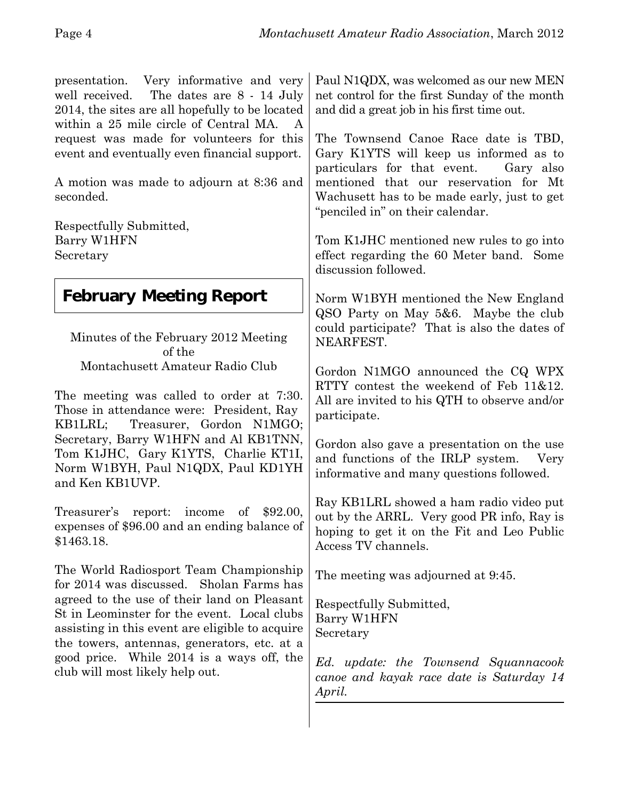presentation. Very informative and very well received. The dates are 8 - 14 July 2014, the sites are all hopefully to be located within a 25 mile circle of Central MA. A request was made for volunteers for this event and eventually even financial support.

A motion was made to adjourn at 8:36 and seconded.

Respectfully Submitted, Barry W1HFN Secretary

## **February Meeting Report**

Minutes of the February 2012 Meeting of the Montachusett Amateur Radio Club

The meeting was called to order at 7:30. Those in attendance were: President, Ray KB1LRL; Treasurer, Gordon N1MGO; Secretary, Barry W1HFN and Al KB1TNN, Tom K1JHC, Gary K1YTS, Charlie KT1I, Norm W1BYH, Paul N1QDX, Paul KD1YH and Ken KB1UVP.

Treasurer's report: income of \$92.00, expenses of \$96.00 and an ending balance of \$1463.18.

The World Radiosport Team Championship for 2014 was discussed. Sholan Farms has agreed to the use of their land on Pleasant St in Leominster for the event. Local clubs assisting in this event are eligible to acquire the towers, antennas, generators, etc. at a good price. While 2014 is a ways off, the club will most likely help out.

Paul N1QDX, was welcomed as our new MEN net control for the first Sunday of the month and did a great job in his first time out.

The Townsend Canoe Race date is TBD, Gary K1YTS will keep us informed as to particulars for that event. Gary also mentioned that our reservation for Mt Wachusett has to be made early, just to get "penciled in" on their calendar.

Tom K1JHC mentioned new rules to go into effect regarding the 60 Meter band. Some discussion followed.

Norm W1BYH mentioned the New England QSO Party on May 5&6. Maybe the club could participate? That is also the dates of NEARFEST.

Gordon N1MGO announced the CQ WPX RTTY contest the weekend of Feb 11&12. All are invited to his QTH to observe and/or participate.

Gordon also gave a presentation on the use and functions of the IRLP system. Very informative and many questions followed.

Ray KB1LRL showed a ham radio video put out by the ARRL. Very good PR info, Ray is hoping to get it on the Fit and Leo Public Access TV channels.

The meeting was adjourned at 9:45.

Respectfully Submitted, Barry W1HFN Secretary

*Ed. update: the Townsend Squannacook canoe and kayak race date is Saturday 14 April.*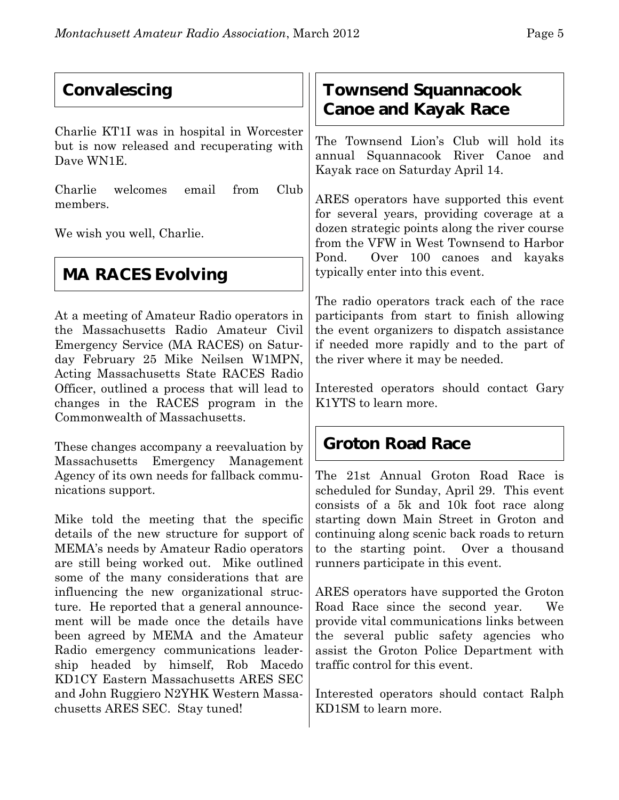## **Convalescing**

Charlie KT1I was in hospital in Worcester but is now released and recuperating with Dave WN1E.

Charlie welcomes email from Club members.

We wish you well, Charlie.

# **MA RACES Evolving**

At a meeting of Amateur Radio operators in the Massachusetts Radio Amateur Civil Emergency Service (MA RACES) on Saturday February 25 Mike Neilsen W1MPN, Acting Massachusetts State RACES Radio Officer, outlined a process that will lead to changes in the RACES program in the Commonwealth of Massachusetts.

These changes accompany a reevaluation by Massachusetts Emergency Management Agency of its own needs for fallback communications support.

Mike told the meeting that the specific details of the new structure for support of MEMA's needs by Amateur Radio operators are still being worked out. Mike outlined some of the many considerations that are influencing the new organizational structure. He reported that a general announcement will be made once the details have been agreed by MEMA and the Amateur Radio emergency communications leadership headed by himself, Rob Macedo KD1CY Eastern Massachusetts ARES SEC and John Ruggiero N2YHK Western Massachusetts ARES SEC. Stay tuned!

#### **Townsend Squannacook Canoe and Kayak Race**

The Townsend Lion's Club will hold its annual Squannacook River Canoe and Kayak race on Saturday April 14.

ARES operators have supported this event for several years, providing coverage at a dozen strategic points along the river course from the VFW in West Townsend to Harbor Pond. Over 100 canoes and kayaks typically enter into this event.

The radio operators track each of the race participants from start to finish allowing the event organizers to dispatch assistance if needed more rapidly and to the part of the river where it may be needed.

Interested operators should contact Gary K1YTS to learn more.

## **Groton Road Race**

The 21st Annual Groton Road Race is scheduled for Sunday, April 29. This event consists of a 5k and 10k foot race along starting down Main Street in Groton and continuing along scenic back roads to return to the starting point. Over a thousand runners participate in this event.

ARES operators have supported the Groton Road Race since the second year. We provide vital communications links between the several public safety agencies who assist the Groton Police Department with traffic control for this event.

Interested operators should contact Ralph KD1SM to learn more.